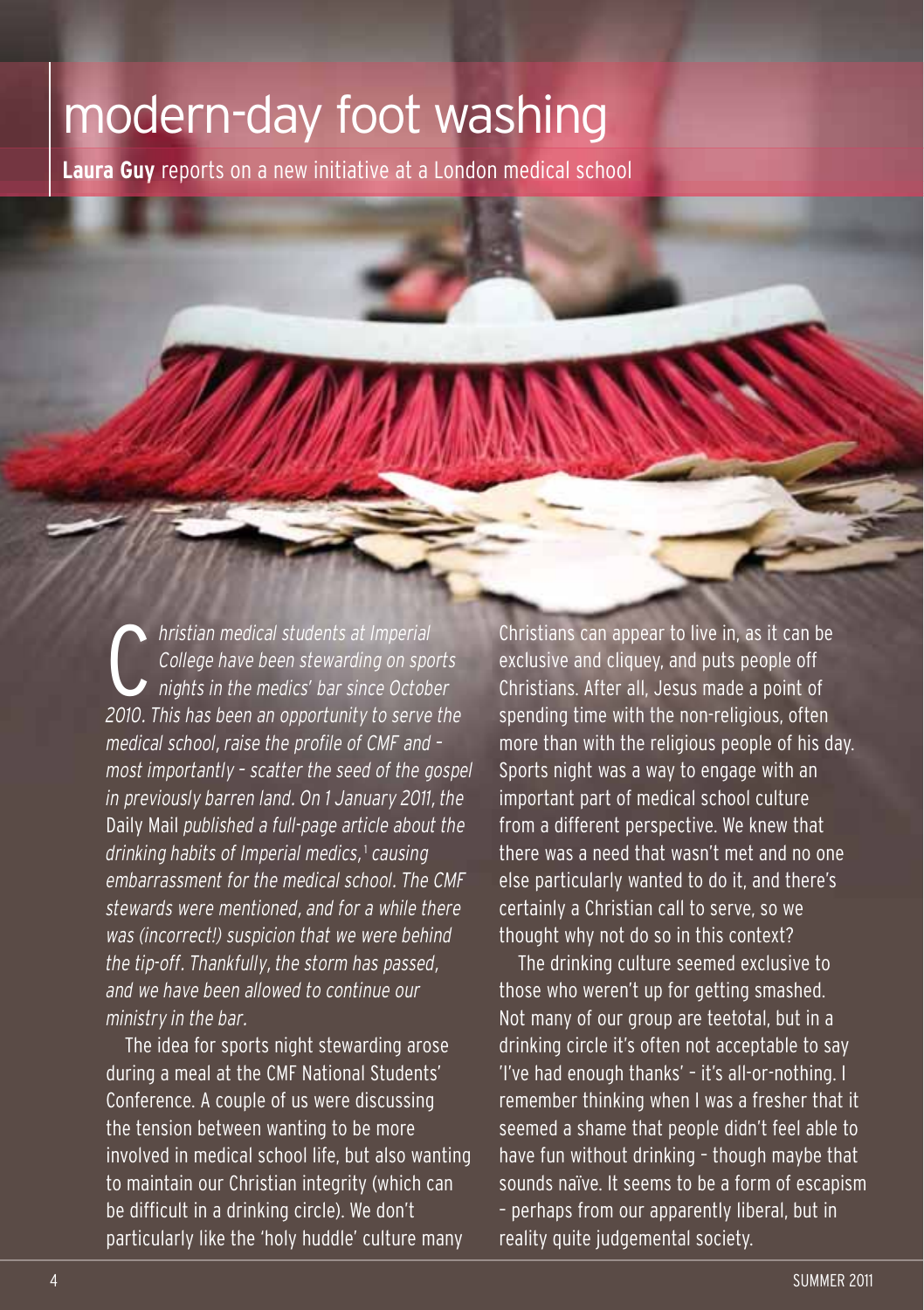## modern-day foot washing

**Laura Guy** reports on a new initiative at a London medical school

**1** *2010 College have been stewarding on sports nights in the medics' bar since October* 2010. This has been an opportunity to serve the *hristian medical students at Imperial College have been stewarding on sports nights in the medics' bar since October medical school, raise the profile of CMF and – most importantly – scatter the seed of the gospel in previously barren land. On 1 January 2011, the* Daily Mail *published a full-page article about the drinking habits of Imperial medics,* <sup>1</sup> *causing embarrassment for the medical school. The CMF stewards were mentioned, and for a while there was (incorrect!) suspicion that we were behind the tip-off. Thankfully, the storm has passed, and we have been allowed to continue our ministry in the bar.*

The idea for sports night stewarding arose during a meal at the CMF National Students' Conference. A couple of us were discussing the tension between wanting to be more involved in medical school life, but also wanting to maintain our Christian integrity (which can be difficult in a drinking circle). We don't particularly like the 'holy huddle' culture many

Christians can appear to live in, as it can be exclusive and cliquey, and puts people off Christians. After all, Jesus made a point of spending time with the non-religious, often more than with the religious people of his day. Sports night was a way to engage with an important part of medical school culture from a different perspective. We knew that there was a need that wasn't met and no one else particularly wanted to do it, and there's certainly a Christian call to serve, so we thought why not do so in this context?

The drinking culture seemed exclusive to those who weren't up for getting smashed. Not many of our group are teetotal, but in a drinking circle it's often not acceptable to say 'I've had enough thanks' – it's all-or-nothing. I remember thinking when I was a fresher that it seemed a shame that people didn't feel able to have fun without drinking – though maybe that sounds naïve. It seems to be a form of escapism – perhaps from our apparently liberal, but in reality quite judgemental society.